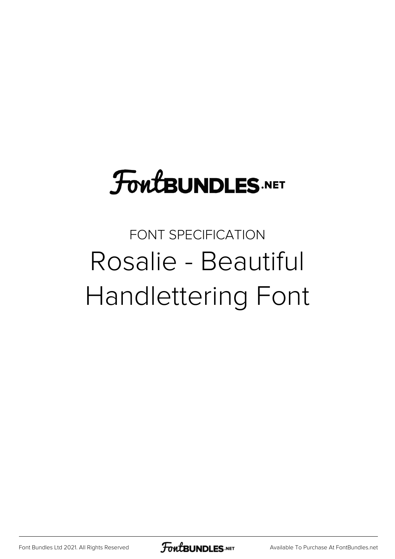## **FoutBUNDLES.NET**

## FONT SPECIFICATION Rosalie - Beautiful Handlettering Font

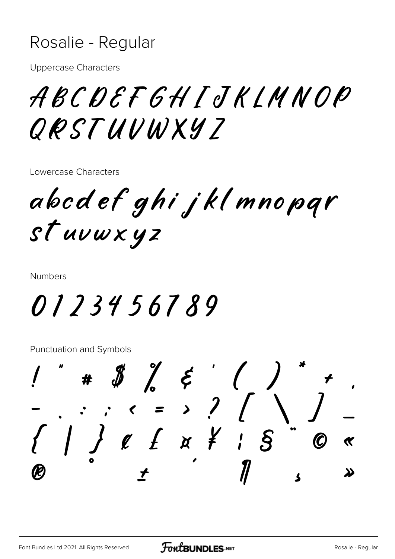## Rosalie - Regular

**Uppercase Characters** 

ABCDEFGHIJKLMNOP ORSTUUWXYZ

Lowercase Characters

abod ef ghi jkl mnopqr stuvwxyz

**Numbers** 

0123456789

**Punctuation and Symbols** 

 $\# \quad \ \ \, \raisebox{.6ex}{$\not$}\raisebox{.6ex}{$\not$}\raisebox{.6ex}{$\not$}\raisebox{.6ex}{$\not$}\raisebox{.6ex}{$\not$}\raisebox{.6ex}{$\not$}\raisebox{.6ex}{$\not$}\raisebox{.6ex}{$\not$}\raisebox{.6ex}{$\not$}\raisebox{.6ex}{$\not$}\raisebox{.6ex}{$\not$}\raisebox{.6ex}{$\not$}\raisebox{.6ex}{$\not$}\raisebox{.6ex}{$\not$}\raisebox{.6ex}{$\not$}\raisebox{.6ex}{$\not$}\raisebox{.6ex}{$\not$}\raisebox{.6ex}{$\not$}\raisebox{.6ex}{$\not$}\$  $\begin{array}{c} - , : : : \times = \rightarrow ? / \\ \left\{ \begin{array}{c} 1 \\ 0 \end{array} \right\} \ell \quad \text{if} \quad x \quad \text{if} \quad i \quad \text{if} \quad n \end{array}$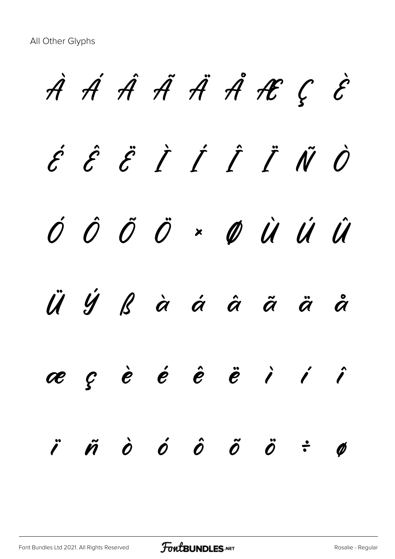À Á Â Ã Ä Å Æ Ç È  $\acute{\epsilon}$   $\acute{\epsilon}$   $\acute{\epsilon}$   $\acute{I}$   $\acute{I}$   $\acute{I}$   $\ddot{\ell}$   $\ddot{\ell}$ Ó Ô Õ Ö × Ø Ù Ú Û Ü Ý ß à á â ã ä å æ ç è é ê ë ì í î  $\ddot{\theta}$   $\ddot{\theta}$   $\ddot{\theta}$   $\ddot{\theta}$   $\ddot{\theta}$   $\ddot{\theta}$   $\ddot{\theta}$   $\ddot{\theta}$